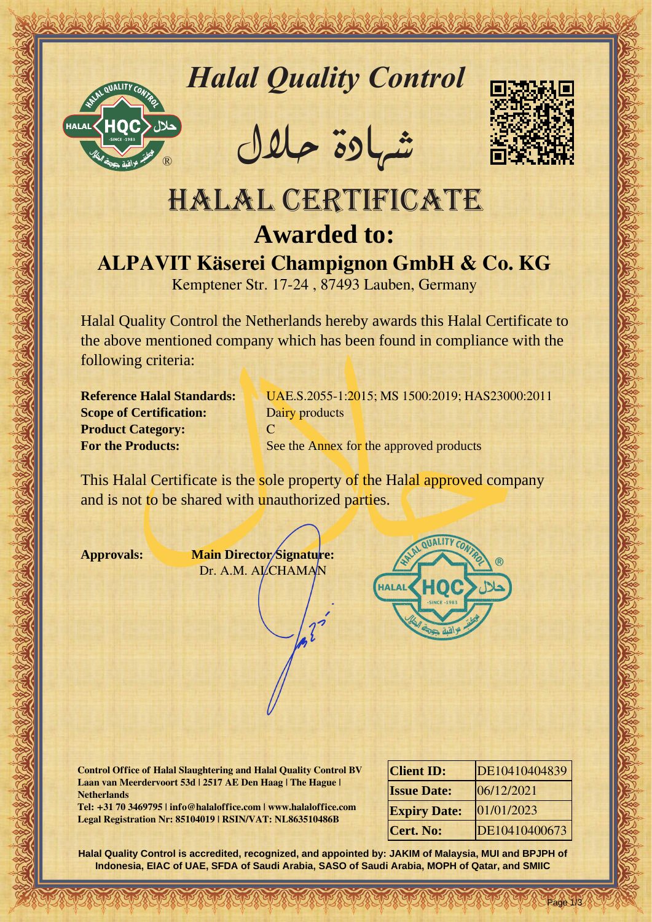

*Halal Quality Control*

REACTOR AND THE REAL PROPERTY OF THE REAL PROPERTY

�شهادة حالل



## Hallal Quality Control materials<br>
HALAL CERTIFICATE<br>
HALAL CERTIFICATE<br>
ALPAVIT Käserei Champignon GmbH & Co. KG<br>
Kangelea St. (12-24, 8749) Lauben, Geonary<br>
Media Quality Control to Network and Contribute to Represent Str HALAL CERTIFICATE **Awarded to: ALPAVIT Käserei Champignon GmbH & Co. KG**

Kemptener Str. 17-24 , 87493 Lauben, Germany

Halal Quality Control the Netherlands hereby awards this Halal Certificate to the above mentioned company which has been found in compliance with the following criteria:

**Scope of Certification:** Dairy products **Product Category:** C

**Reference Halal Standards:** UAE.S.2055-1:2015; MS 1500:2019; HAS23000:2011 **For the Products:** See the Annex for the approved products

This Halal Certificate is the sole property of the Halal approved company and is not to be shared with unauthorized parties.

**Approvals: Main Director Signature:** Dr. A.M. ALCHAMAN



**Control Office of Halal Slaughtering and Halal Quality Control BV Laan van Meerdervoort 53d | 2517 AE Den Haag | The Hague | Netherlands**

**Tel: +31 70 3469795 | info@halaloffice.com | www.halaloffice.com Legal Registration Nr: 85104019 | RSIN/VAT: NL863510486B**

| <b>Client ID:</b>   | DE10410404839 |
|---------------------|---------------|
| <b>Issue Date:</b>  | 06/12/2021    |
| <b>Expiry Date:</b> | 01/01/2023    |
| <b>Cert. No:</b>    | DE10410400673 |

Page 1/3

**Halal Quality Control is accredited, recognized, and appointed by: JAKIM of Malaysia, MUI and BPJPH of Indonesia, EIAC of UAE, SFDA of Saudi Arabia, SASO of Saudi Arabia, MOPH of Qatar, and SMIIC**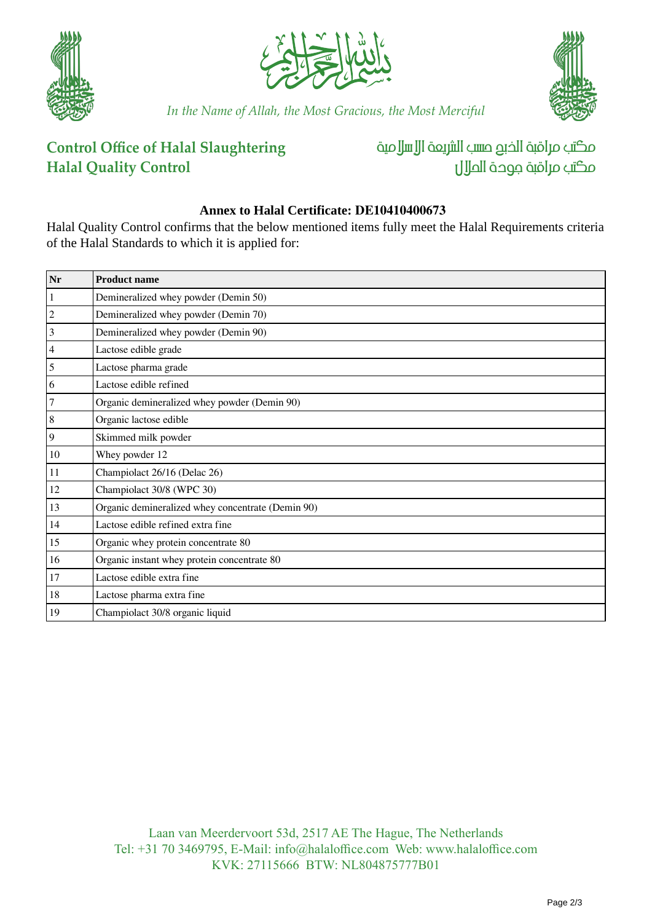





*In the Name of Allah, the Most Gracious, the Most Merciful*

## **Control Office of Halal Slaughtering Halal Quality Control**

مكتب مراقبة الذبم صسب الشريعة الإسلامية مكتب مراقبة جودة المال

## **Annex to Halal Certificate: DE10410400673**

Halal Quality Control confirms that the below mentioned items fully meet the Halal Requirements criteria of the Halal Standards to which it is applied for:

| Nr             | <b>Product name</b>                               |
|----------------|---------------------------------------------------|
| $\mathbf{1}$   | Demineralized whey powder (Demin 50)              |
| $\overline{2}$ | Demineralized whey powder (Demin 70)              |
| $\overline{3}$ | Demineralized whey powder (Demin 90)              |
| $\vert 4$      | Lactose edible grade                              |
| 5              | Lactose pharma grade                              |
| 6              | Lactose edible refined                            |
| $\overline{7}$ | Organic demineralized whey powder (Demin 90)      |
| $\,8\,$        | Organic lactose edible                            |
| $\vert$ 9      | Skimmed milk powder                               |
| $10\,$         | Whey powder 12                                    |
| 11             | Champiolact 26/16 (Delac 26)                      |
| 12             | Champiolact 30/8 (WPC 30)                         |
| 13             | Organic demineralized whey concentrate (Demin 90) |
| 14             | Lactose edible refined extra fine                 |
| 15             | Organic whey protein concentrate 80               |
| 16             | Organic instant whey protein concentrate 80       |
| 17             | Lactose edible extra fine                         |
| 18             | Lactose pharma extra fine                         |
| 19             | Champiolact 30/8 organic liquid                   |